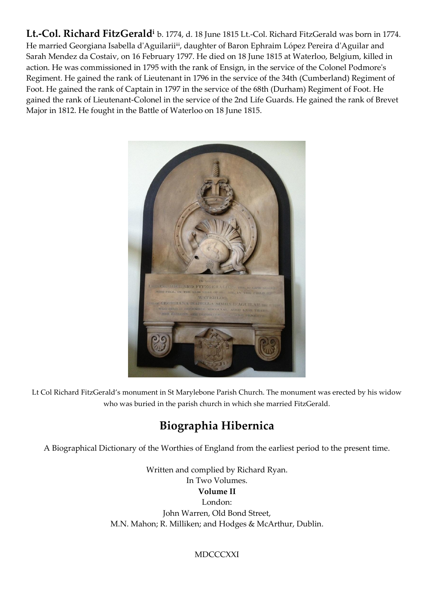**Lt.-Col. Richard FitzGerald<sup>i</sup>** b. 1774, d. 18 June 1815 Lt.-Col. Richard FitzGerald was born in 1774. He married [Georgiana Isabella](http://www.thepeerage.com/p3665.htm#i36646) d'Aguilarii<sup>ii</sup>, daughter of Baron [Ephraim López Pereira](http://www.thepeerage.com/p3665.htm#i36647) d'Aguilar and Sarah [Mendez da Costai](http://www.thepeerage.com/p52592.htm#i525918)v, on 16 February 1797. He died on 18 June 1815 at [Waterloo, Belgium,](http://www.thepeerage.com/pd47.htm#i3015) killed in action. He was commissioned in 1795 with the rank of Ensign, in the service of the Colonel Podmore's Regiment. He gained the rank of Lieutenant in 1796 in the service of the 34th (Cumberland) Regiment of Foot. He gained the rank of Captain in 1797 in the service of the 68th (Durham) Regiment of Foot. He gained the rank of Lieutenant-Colonel in the service of the 2nd Life Guards. He gained the rank of Brevet Major in 1812. He fought in the Battle of Waterloo on 18 June 1815.



Lt Col Richard FitzGerald's monument in St Marylebone Parish Church. The monument was erected by his widow who was buried in the parish church in which she married FitzGerald.

## **Biographia Hibernica**

A Biographical Dictionary of the Worthies of England from the earliest period to the present time.

Written and complied by Richard Ryan. In Two Volumes. **Volume II** London: John Warren, Old Bond Street, M.N. Mahon; R. Milliken; and Hodges & McArthur, Dublin.

## **MDCCCXXI**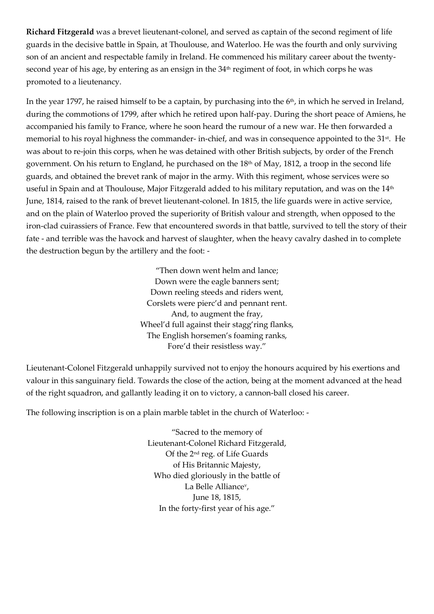**Richard Fitzgerald** was a brevet lieutenant-colonel, and served as captain of the second regiment of life guards in the decisive battle in Spain, at Thoulouse, and Waterloo. He was the fourth and only surviving son of an ancient and respectable family in Ireland. He commenced his military career about the twentysecond year of his age, by entering as an ensign in the 34<sup>th</sup> regiment of foot, in which corps he was promoted to a lieutenancy.

In the year 1797, he raised himself to be a captain, by purchasing into the 6<sup>th</sup>, in which he served in Ireland, during the commotions of 1799, after which he retired upon half-pay. During the short peace of Amiens, he accompanied his family to France, where he soon heard the rumour of a new war. He then forwarded a memorial to his royal highness the commander- in-chief, and was in consequence appointed to the 31<sup>st</sup>. He was about to re-join this corps, when he was detained with other British subjects, by order of the French government. On his return to England, he purchased on the 18<sup>th</sup> of May, 1812, a troop in the second life guards, and obtained the brevet rank of major in the army. With this regiment, whose services were so useful in Spain and at Thoulouse, Major Fitzgerald added to his military reputation, and was on the 14<sup>th</sup> June, 1814, raised to the rank of brevet lieutenant-colonel. In 1815, the life guards were in active service, and on the plain of Waterloo proved the superiority of British valour and strength, when opposed to the iron-clad cuirassiers of France. Few that encountered swords in that battle, survived to tell the story of their fate - and terrible was the havock and harvest of slaughter, when the heavy cavalry dashed in to complete the destruction begun by the artillery and the foot: -

> "Then down went helm and lance; Down were the eagle banners sent; Down reeling steeds and riders went, Corslets were pierc'd and pennant rent. And, to augment the fray, Wheel'd full against their stagg'ring flanks, The English horsemen's foaming ranks, Fore'd their resistless way."

Lieutenant-Colonel Fitzgerald unhappily survived not to enjoy the honours acquired by his exertions and valour in this sanguinary field. Towards the close of the action, being at the moment advanced at the head of the right squadron, and gallantly leading it on to victory, a cannon-ball closed his career.

The following inscription is on a plain marble tablet in the church of Waterloo: -

"Sacred to the memory of Lieutenant-Colonel Richard Fitzgerald, Of the 2nd reg. of Life Guards of His Britannic Majesty, Who died gloriously in the battle of La Belle Alliance<sup>v</sup> , June 18, 1815, In the forty-first year of his age."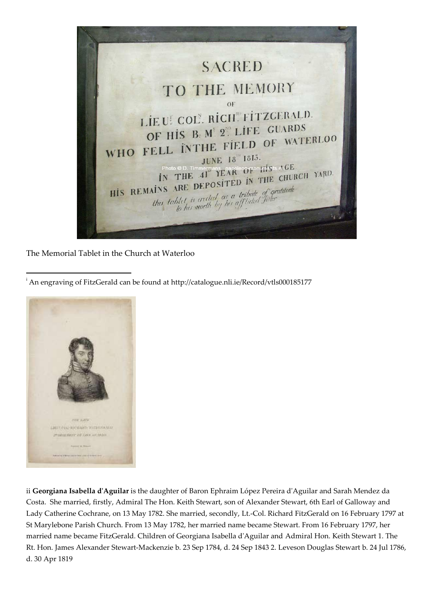

The Memorial Tablet in the Church at Waterloo

<sup>i</sup> An engraving of FitzGerald can be found at<http://catalogue.nli.ie/Record/vtls000185177>



**.** 

ii **Georgiana Isabella d'Aguilar** is the daughter of Baron [Ephraim López Pereira](http://www.thepeerage.com/p3665.htm#i36647) d'Aguilar and Sarah Mendez da Costa. She married, firstly[, Admiral The Hon.](http://www.thepeerage.com/p3665.htm#i36645) Keith Stewart, son of Alexander Stewart, [6th Earl of Galloway](http://www.thepeerage.com/p10852.htm#i108518) and Lady Catherine Cochrane, on 13 May 1782. She married, secondly, Lt.-Col. Richard [FitzGerald](http://www.thepeerage.com/p3665.htm#i36648) on 16 February 1797 at St Marylebone Parish Church. From 13 May 1782, her married name became Stewart. From 16 February 1797, her married name became FitzGerald. Children of Georgiana Isabella d'Aguilar and [Admiral Hon.](http://www.thepeerage.com/p3665.htm#i36645) Keith Stewart 1. The Rt. Hon. James Alexander [Stewart-Mackenzie](http://www.thepeerage.com/p3665.htm#i36642) b. 23 Sep 1784, d. 24 Sep 1843 2[. Leveson Douglas](http://www.thepeerage.com/p15023.htm#i150227) Stewart b. 24 Jul 1786, d. 30 Apr 1819